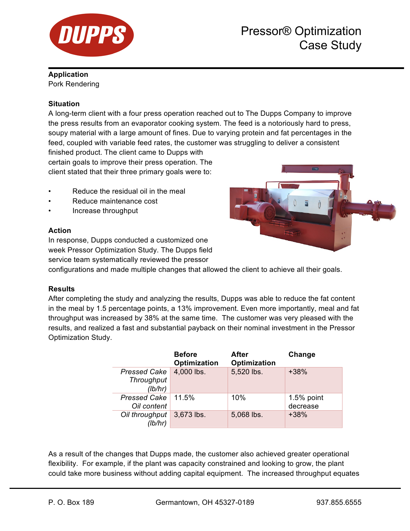

### **Application**

Pork Rendering

## **Situation**

A long-term client with a four press operation reached out to The Dupps Company to improve the press results from an evaporator cooking system. The feed is a notoriously hard to press, soupy material with a large amount of fines. Due to varying protein and fat percentages in the feed, coupled with variable feed rates, the customer was struggling to deliver a consistent

finished product. The client came to Dupps with certain goals to improve their press operation. The client stated that their three primary goals were to:

- Reduce the residual oil in the meal
- Reduce maintenance cost
- Increase throughput

## **Action**

In response, Dupps conducted a customized one week Pressor Optimization Study. The Dupps field service team systematically reviewed the pressor

configurations and made multiple changes that allowed the client to achieve all their goals.

## **Results**

After completing the study and analyzing the results, Dupps was able to reduce the fat content in the meal by 1.5 percentage points, a 13% improvement. Even more importantly, meal and fat throughput was increased by 38% at the same time. The customer was very pleased with the results, and realized a fast and substantial payback on their nominal investment in the Pressor Optimization Study.

|                           | <b>Before</b><br>Optimization | After<br>Optimization | Change       |
|---------------------------|-------------------------------|-----------------------|--------------|
| <b>Pressed Cake</b>       | 4,000 lbs.                    | 5,520 lbs.            | $+38%$       |
| Throughput                |                               |                       |              |
| (lb/hr)                   |                               |                       |              |
| <b>Pressed Cake</b>       | 11.5%                         | 10%                   | $1.5%$ point |
| Oil content               |                               |                       | decrease     |
| Oil throughput<br>(lb/hr) | 3,673 lbs.                    | 5,068 lbs.            | $+38%$       |

As a result of the changes that Dupps made, the customer also achieved greater operational flexibility. For example, if the plant was capacity constrained and looking to grow, the plant could take more business without adding capital equipment. The increased throughput equates